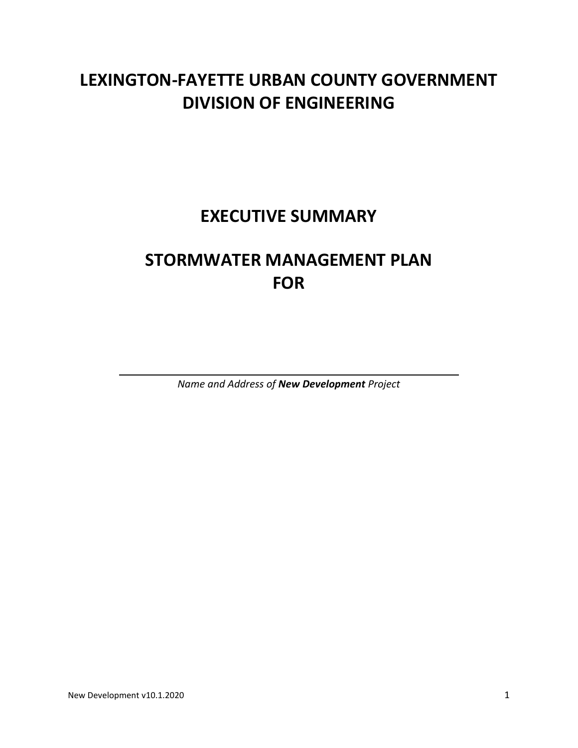# **LEXINGTON-FAYETTE URBAN COUNTY GOVERNMENT DIVISION OF ENGINEERING**

**EXECUTIVE SUMMARY**

# **STORMWATER MANAGEMENT PLAN FOR**

*Name and Address of New Development Project*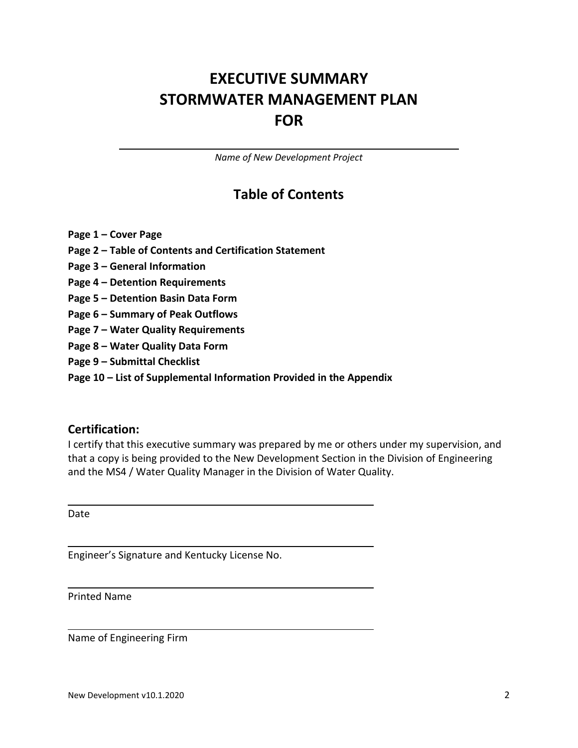## **EXECUTIVE SUMMARY STORMWATER MANAGEMENT PLAN FOR**

*Name of New Development Project*

### **Table of Contents**

- **Page 1 – Cover Page**
- **Page 2 – Table of Contents and Certification Statement**
- **Page 3 – General Information**
- **Page 4 – Detention Requirements**
- **Page 5 – Detention Basin Data Form**
- **Page 6 – Summary of Peak Outflows**
- **Page 7 – Water Quality Requirements**
- **Page 8 – Water Quality Data Form**
- **Page 9 – Submittal Checklist**
- **Page 10 – List of Supplemental Information Provided in the Appendix**

#### **Certification:**

I certify that this executive summary was prepared by me or others under my supervision, and that a copy is being provided to the New Development Section in the Division of Engineering and the MS4 / Water Quality Manager in the Division of Water Quality.

Date

Engineer's Signature and Kentucky License No.

Printed Name

Name of Engineering Firm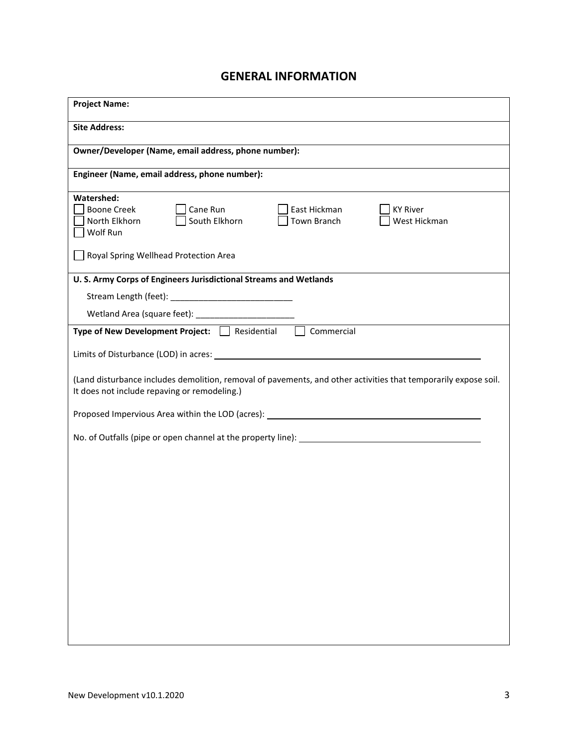#### **GENERAL INFORMATION**

| <b>Project Name:</b>                                                                                                                                            |
|-----------------------------------------------------------------------------------------------------------------------------------------------------------------|
| <b>Site Address:</b>                                                                                                                                            |
| Owner/Developer (Name, email address, phone number):                                                                                                            |
| Engineer (Name, email address, phone number):                                                                                                                   |
| Watershed:<br>Cane Run<br><b>Boone Creek</b><br>East Hickman<br><b>KY River</b><br>South Elkhorn<br>North Elkhorn<br>Town Branch<br>West Hickman<br>Wolf Run    |
| Royal Spring Wellhead Protection Area                                                                                                                           |
| U. S. Army Corps of Engineers Jurisdictional Streams and Wetlands                                                                                               |
|                                                                                                                                                                 |
|                                                                                                                                                                 |
| Type of New Development Project: □ Residential<br>Commercial                                                                                                    |
|                                                                                                                                                                 |
| (Land disturbance includes demolition, removal of pavements, and other activities that temporarily expose soil.<br>It does not include repaving or remodeling.) |
| Proposed Impervious Area within the LOD (acres): _______________________________                                                                                |
|                                                                                                                                                                 |
|                                                                                                                                                                 |
|                                                                                                                                                                 |
|                                                                                                                                                                 |
|                                                                                                                                                                 |
|                                                                                                                                                                 |
|                                                                                                                                                                 |
|                                                                                                                                                                 |
|                                                                                                                                                                 |
|                                                                                                                                                                 |
|                                                                                                                                                                 |
|                                                                                                                                                                 |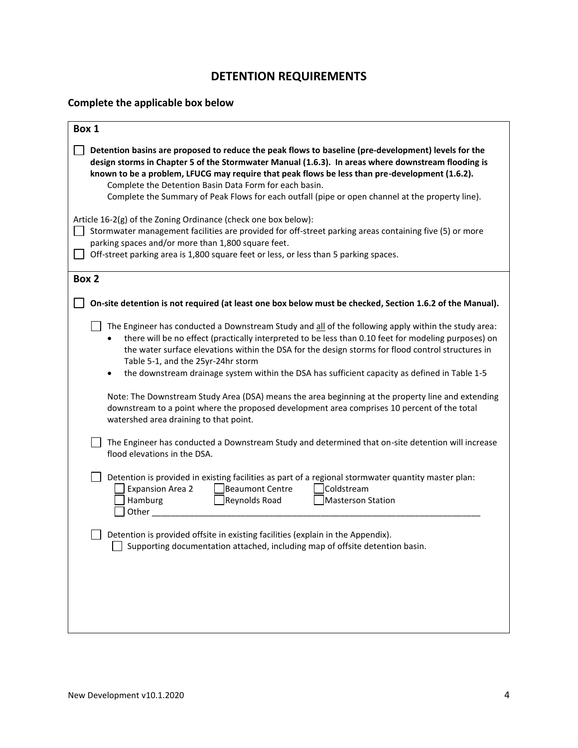#### **DETENTION REQUIREMENTS**

#### **Complete the applicable box below**

| Box 1                                                                                                                                                                                                                                                                                                                                                                                                                                                                                                                                                                                                                                                       |
|-------------------------------------------------------------------------------------------------------------------------------------------------------------------------------------------------------------------------------------------------------------------------------------------------------------------------------------------------------------------------------------------------------------------------------------------------------------------------------------------------------------------------------------------------------------------------------------------------------------------------------------------------------------|
| Detention basins are proposed to reduce the peak flows to baseline (pre-development) levels for the<br>design storms in Chapter 5 of the Stormwater Manual (1.6.3). In areas where downstream flooding is<br>known to be a problem, LFUCG may require that peak flows be less than pre-development (1.6.2).<br>Complete the Detention Basin Data Form for each basin.<br>Complete the Summary of Peak Flows for each outfall (pipe or open channel at the property line).                                                                                                                                                                                   |
| Article 16-2(g) of the Zoning Ordinance (check one box below):<br>Stormwater management facilities are provided for off-street parking areas containing five (5) or more<br>parking spaces and/or more than 1,800 square feet.<br>Off-street parking area is 1,800 square feet or less, or less than 5 parking spaces.                                                                                                                                                                                                                                                                                                                                      |
| Box 2                                                                                                                                                                                                                                                                                                                                                                                                                                                                                                                                                                                                                                                       |
| On-site detention is not required (at least one box below must be checked, Section 1.6.2 of the Manual).                                                                                                                                                                                                                                                                                                                                                                                                                                                                                                                                                    |
| The Engineer has conducted a Downstream Study and all of the following apply within the study area:<br>there will be no effect (practically interpreted to be less than 0.10 feet for modeling purposes) on<br>the water surface elevations within the DSA for the design storms for flood control structures in<br>Table 5-1, and the 25yr-24hr storm<br>the downstream drainage system within the DSA has sufficient capacity as defined in Table 1-5<br>Note: The Downstream Study Area (DSA) means the area beginning at the property line and extending<br>downstream to a point where the proposed development area comprises 10 percent of the total |
| watershed area draining to that point.                                                                                                                                                                                                                                                                                                                                                                                                                                                                                                                                                                                                                      |
| The Engineer has conducted a Downstream Study and determined that on-site detention will increase<br>flood elevations in the DSA.                                                                                                                                                                                                                                                                                                                                                                                                                                                                                                                           |
| Detention is provided in existing facilities as part of a regional stormwater quantity master plan:<br>Beaumont Centre<br>Coldstream<br><b>Expansion Area 2</b><br>Hamburg<br>Reynolds Road<br><b>Masterson Station</b><br>Other                                                                                                                                                                                                                                                                                                                                                                                                                            |
| Detention is provided offsite in existing facilities (explain in the Appendix).<br>Supporting documentation attached, including map of offsite detention basin.                                                                                                                                                                                                                                                                                                                                                                                                                                                                                             |
|                                                                                                                                                                                                                                                                                                                                                                                                                                                                                                                                                                                                                                                             |
|                                                                                                                                                                                                                                                                                                                                                                                                                                                                                                                                                                                                                                                             |
|                                                                                                                                                                                                                                                                                                                                                                                                                                                                                                                                                                                                                                                             |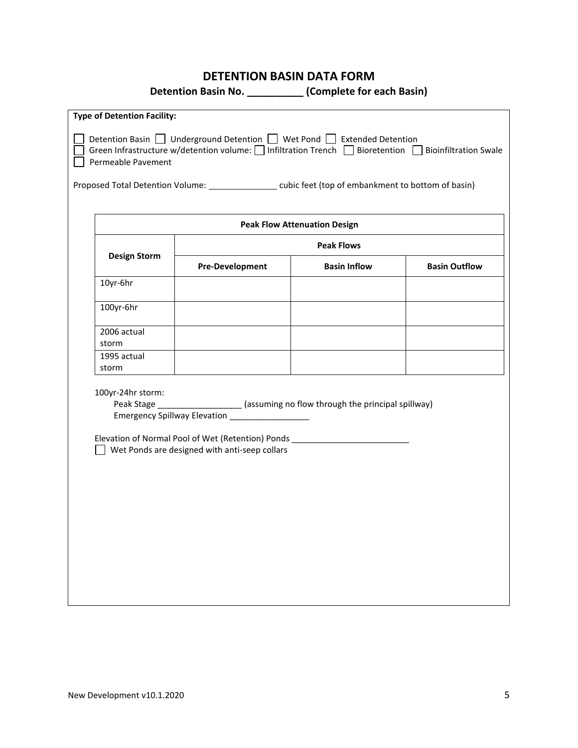#### **DETENTION BASIN DATA FORM**

**Detention Basin No. \_\_\_\_\_\_\_\_\_\_ (Complete for each Basin)**

|                                                                                                                                                                                                  | <b>Type of Detention Facility:</b>                                                                                                                                                                                                                   |                        |                                     |                      |  |
|--------------------------------------------------------------------------------------------------------------------------------------------------------------------------------------------------|------------------------------------------------------------------------------------------------------------------------------------------------------------------------------------------------------------------------------------------------------|------------------------|-------------------------------------|----------------------|--|
| Detention Basin   Underground Detention   Wet Pond   Extended Detention<br>Green Infrastructure w/detention volume: Infiltration Trench Bioretention Bioinfiltration Swale<br>Permeable Pavement |                                                                                                                                                                                                                                                      |                        |                                     |                      |  |
|                                                                                                                                                                                                  | Proposed Total Detention Volume: ____________________cubic feet (top of embankment to bottom of basin)                                                                                                                                               |                        |                                     |                      |  |
|                                                                                                                                                                                                  |                                                                                                                                                                                                                                                      |                        | <b>Peak Flow Attenuation Design</b> |                      |  |
|                                                                                                                                                                                                  |                                                                                                                                                                                                                                                      |                        | <b>Peak Flows</b>                   |                      |  |
|                                                                                                                                                                                                  | <b>Design Storm</b>                                                                                                                                                                                                                                  | <b>Pre-Development</b> | <b>Basin Inflow</b>                 | <b>Basin Outflow</b> |  |
|                                                                                                                                                                                                  | 10yr-6hr                                                                                                                                                                                                                                             |                        |                                     |                      |  |
|                                                                                                                                                                                                  | 100yr-6hr                                                                                                                                                                                                                                            |                        |                                     |                      |  |
|                                                                                                                                                                                                  | 2006 actual<br>storm                                                                                                                                                                                                                                 |                        |                                     |                      |  |
|                                                                                                                                                                                                  | 1995 actual<br>storm                                                                                                                                                                                                                                 |                        |                                     |                      |  |
|                                                                                                                                                                                                  | 100yr-24hr storm:<br>Peak Stage ___________________ (assuming no flow through the principal spillway)<br>Emergency Spillway Elevation<br>Elevation of Normal Pool of Wet (Retention) Ponds ________<br>Wet Ponds are designed with anti-seep collars |                        |                                     |                      |  |
|                                                                                                                                                                                                  |                                                                                                                                                                                                                                                      |                        |                                     |                      |  |
|                                                                                                                                                                                                  |                                                                                                                                                                                                                                                      |                        |                                     |                      |  |
|                                                                                                                                                                                                  |                                                                                                                                                                                                                                                      |                        |                                     |                      |  |
|                                                                                                                                                                                                  |                                                                                                                                                                                                                                                      |                        |                                     |                      |  |

 $\mathsf{l}$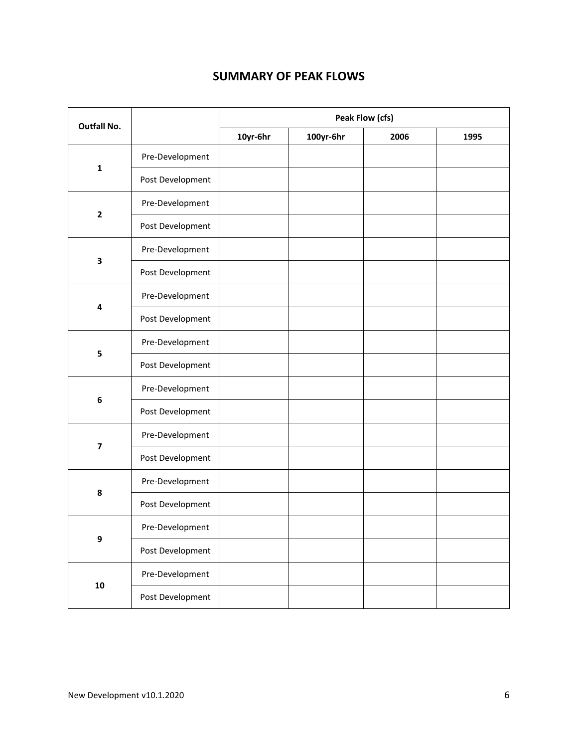#### **SUMMARY OF PEAK FLOWS**

| <b>Outfall No.</b>      |                  | Peak Flow (cfs) |           |      |      |
|-------------------------|------------------|-----------------|-----------|------|------|
|                         |                  | 10yr-6hr        | 100yr-6hr | 2006 | 1995 |
|                         | Pre-Development  |                 |           |      |      |
| $\mathbf 1$             | Post Development |                 |           |      |      |
| $\mathbf{2}$            | Pre-Development  |                 |           |      |      |
|                         | Post Development |                 |           |      |      |
| 3                       | Pre-Development  |                 |           |      |      |
|                         | Post Development |                 |           |      |      |
| 4                       | Pre-Development  |                 |           |      |      |
|                         | Post Development |                 |           |      |      |
| 5                       | Pre-Development  |                 |           |      |      |
|                         | Post Development |                 |           |      |      |
| $\bf 6$                 | Pre-Development  |                 |           |      |      |
|                         | Post Development |                 |           |      |      |
| $\overline{\mathbf{z}}$ | Pre-Development  |                 |           |      |      |
|                         | Post Development |                 |           |      |      |
|                         | Pre-Development  |                 |           |      |      |
| 8                       | Post Development |                 |           |      |      |
|                         | Pre-Development  |                 |           |      |      |
| $\boldsymbol{9}$        | Post Development |                 |           |      |      |
|                         | Pre-Development  |                 |           |      |      |
| ${\bf 10}$              | Post Development |                 |           |      |      |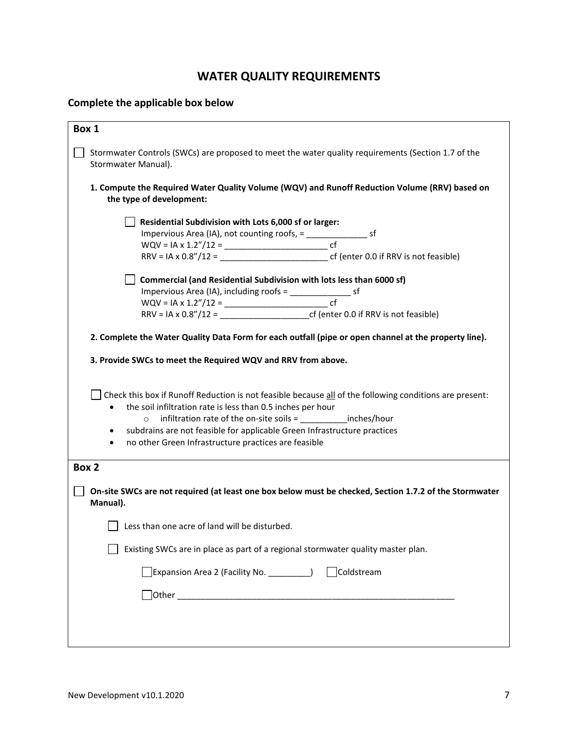#### **WATER QUALITY REQUIREMENTS**

#### **Complete the applicable box below**

| Box 1               |                                                                                                                           |
|---------------------|---------------------------------------------------------------------------------------------------------------------------|
| Stormwater Manual). | Stormwater Controls (SWCs) are proposed to meet the water quality requirements (Section 1.7 of the                        |
|                     | 1. Compute the Required Water Quality Volume (WQV) and Runoff Reduction Volume (RRV) based on<br>the type of development: |
|                     | Residential Subdivision with Lots 6,000 sf or larger:                                                                     |
|                     | Impervious Area (IA), not counting roofs, = ______________________ sf                                                     |
|                     |                                                                                                                           |
|                     | $RRV = IA \times 0.8''/12 =$ cf (enter 0.0 if RRV is not feasible)                                                        |
|                     | Commercial (and Residential Subdivision with lots less than 6000 sf)                                                      |
|                     | Impervious Area (IA), including roofs = ________________________ sf                                                       |
|                     |                                                                                                                           |
|                     |                                                                                                                           |
|                     | 2. Complete the Water Quality Data Form for each outfall (pipe or open channel at the property line).                     |
|                     |                                                                                                                           |
|                     | 3. Provide SWCs to meet the Required WQV and RRV from above.                                                              |
|                     |                                                                                                                           |
|                     | Check this box if Runoff Reduction is not feasible because all of the following conditions are present:                   |
|                     | the soil infiltration rate is less than 0.5 inches per hour                                                               |
|                     | o infiltration rate of the on-site soils = _____________inches/hour                                                       |
| $\bullet$           | subdrains are not feasible for applicable Green Infrastructure practices                                                  |
|                     | no other Green Infrastructure practices are feasible                                                                      |
|                     |                                                                                                                           |
| Box 2               |                                                                                                                           |
| Manual).            | On-site SWCs are not required (at least one box below must be checked, Section 1.7.2 of the Stormwater                    |
|                     | Less than one acre of land will be disturbed.                                                                             |
|                     |                                                                                                                           |
|                     | Existing SWCs are in place as part of a regional stormwater quality master plan.                                          |
|                     | $]$ Expansion Area 2 (Facility No. $\frac{1}{1}$<br>Coldstream                                                            |
|                     |                                                                                                                           |
|                     |                                                                                                                           |
|                     |                                                                                                                           |
|                     |                                                                                                                           |
|                     |                                                                                                                           |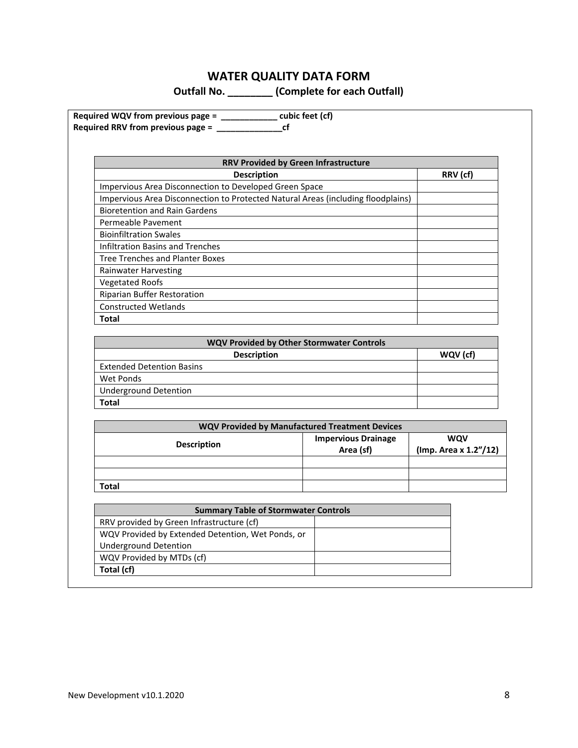### **WATER QUALITY DATA FORM**

**Outfall No. \_\_\_\_\_\_\_\_ (Complete for each Outfall)**

| <b>RRV Provided by Green Infrastructure</b>                                      |          |
|----------------------------------------------------------------------------------|----------|
| <b>Description</b>                                                               | RRV (cf) |
| Impervious Area Disconnection to Developed Green Space                           |          |
| Impervious Area Disconnection to Protected Natural Areas (including floodplains) |          |
| <b>Bioretention and Rain Gardens</b>                                             |          |
| Permeable Pavement                                                               |          |
| <b>Bioinfiltration Swales</b>                                                    |          |
| <b>Infiltration Basins and Trenches</b>                                          |          |
| <b>Tree Trenches and Planter Boxes</b>                                           |          |
| <b>Rainwater Harvesting</b>                                                      |          |
| <b>Vegetated Roofs</b>                                                           |          |
| Riparian Buffer Restoration                                                      |          |
| <b>Constructed Wetlands</b>                                                      |          |
| Total                                                                            |          |

| WQV Provided by Other Stormwater Controls |          |  |
|-------------------------------------------|----------|--|
| <b>Description</b>                        | WQV (cf) |  |
| <b>Extended Detention Basins</b>          |          |  |
| Wet Ponds                                 |          |  |
| Underground Detention                     |          |  |
| <b>Total</b>                              |          |  |

| <b>WQV Provided by Manufactured Treatment Devices</b> |                            |                       |  |
|-------------------------------------------------------|----------------------------|-----------------------|--|
| <b>Description</b>                                    | <b>Impervious Drainage</b> | <b>WQV</b>            |  |
|                                                       | Area (sf)                  | (Imp. Area x 1.2"/12) |  |
|                                                       |                            |                       |  |
|                                                       |                            |                       |  |
| Total                                                 |                            |                       |  |

| <b>Summary Table of Stormwater Controls</b>       |  |
|---------------------------------------------------|--|
| RRV provided by Green Infrastructure (cf)         |  |
| WQV Provided by Extended Detention, Wet Ponds, or |  |
| Underground Detention                             |  |
| WQV Provided by MTDs (cf)                         |  |
| Total (cf)                                        |  |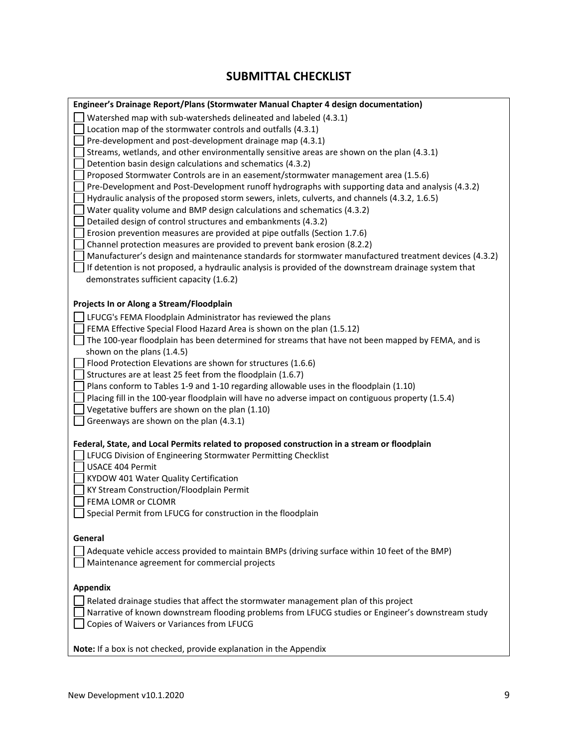#### **SUBMITTAL CHECKLIST**

| Engineer's Drainage Report/Plans (Stormwater Manual Chapter 4 design documentation)                                                                           |
|---------------------------------------------------------------------------------------------------------------------------------------------------------------|
| Watershed map with sub-watersheds delineated and labeled (4.3.1)                                                                                              |
| Location map of the stormwater controls and outfalls (4.3.1)                                                                                                  |
| Pre-development and post-development drainage map (4.3.1)                                                                                                     |
| Streams, wetlands, and other environmentally sensitive areas are shown on the plan (4.3.1)                                                                    |
| Detention basin design calculations and schematics (4.3.2)                                                                                                    |
| Proposed Stormwater Controls are in an easement/stormwater management area (1.5.6)                                                                            |
| Pre-Development and Post-Development runoff hydrographs with supporting data and analysis (4.3.2)                                                             |
| Hydraulic analysis of the proposed storm sewers, inlets, culverts, and channels (4.3.2, 1.6.5)                                                                |
| Water quality volume and BMP design calculations and schematics (4.3.2)                                                                                       |
| Detailed design of control structures and embankments (4.3.2)<br>Erosion prevention measures are provided at pipe outfalls (Section 1.7.6)                    |
| Channel protection measures are provided to prevent bank erosion (8.2.2)                                                                                      |
| Manufacturer's design and maintenance standards for stormwater manufactured treatment devices (4.3.2)                                                         |
| If detention is not proposed, a hydraulic analysis is provided of the downstream drainage system that                                                         |
| demonstrates sufficient capacity (1.6.2)                                                                                                                      |
|                                                                                                                                                               |
| Projects In or Along a Stream/Floodplain                                                                                                                      |
| LFUCG's FEMA Floodplain Administrator has reviewed the plans                                                                                                  |
| FEMA Effective Special Flood Hazard Area is shown on the plan (1.5.12)                                                                                        |
| The 100-year floodplain has been determined for streams that have not been mapped by FEMA, and is                                                             |
| shown on the plans (1.4.5)                                                                                                                                    |
| Flood Protection Elevations are shown for structures (1.6.6)                                                                                                  |
| Structures are at least 25 feet from the floodplain (1.6.7)                                                                                                   |
| Plans conform to Tables 1-9 and 1-10 regarding allowable uses in the floodplain (1.10)                                                                        |
| Placing fill in the 100-year floodplain will have no adverse impact on contiguous property (1.5.4)                                                            |
| Vegetative buffers are shown on the plan (1.10)                                                                                                               |
| Greenways are shown on the plan (4.3.1)                                                                                                                       |
|                                                                                                                                                               |
| Federal, State, and Local Permits related to proposed construction in a stream or floodplain<br>LFUCG Division of Engineering Stormwater Permitting Checklist |
| <b>USACE 404 Permit</b>                                                                                                                                       |
| KYDOW 401 Water Quality Certification                                                                                                                         |
| KY Stream Construction/Floodplain Permit                                                                                                                      |
| FEMA LOMR or CLOMR                                                                                                                                            |
| Special Permit from LFUCG for construction in the floodplain                                                                                                  |
|                                                                                                                                                               |
| General                                                                                                                                                       |
| Adequate vehicle access provided to maintain BMPs (driving surface within 10 feet of the BMP)                                                                 |
| Maintenance agreement for commercial projects                                                                                                                 |
|                                                                                                                                                               |
| <b>Appendix</b>                                                                                                                                               |
| Related drainage studies that affect the stormwater management plan of this project                                                                           |
| Narrative of known downstream flooding problems from LFUCG studies or Engineer's downstream study                                                             |
| Copies of Waivers or Variances from LFUCG                                                                                                                     |
|                                                                                                                                                               |
| Note: If a box is not checked, provide explanation in the Appendix                                                                                            |